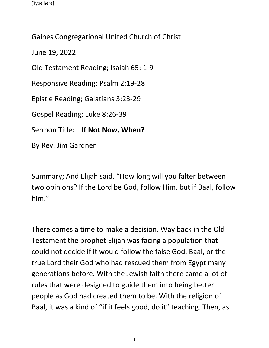Gaines Congregational United Church of Christ

June 19, 2022

Old Testament Reading; Isaiah 65: 1-9

Responsive Reading; Psalm 2:19-28

Epistle Reading; Galatians 3:23-29

Gospel Reading; Luke 8:26-39

Sermon Title: **If Not Now, When?**

By Rev. Jim Gardner

Summary; And Elijah said, "How long will you falter between two opinions? If the Lord be God, follow Him, but if Baal, follow him."

There comes a time to make a decision. Way back in the Old Testament the prophet Elijah was facing a population that could not decide if it would follow the false God, Baal, or the true Lord their God who had rescued them from Egypt many generations before. With the Jewish faith there came a lot of rules that were designed to guide them into being better people as God had created them to be. With the religion of Baal, it was a kind of "if it feels good, do it" teaching. Then, as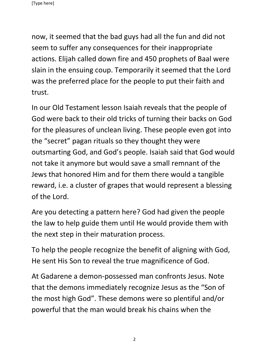now, it seemed that the bad guys had all the fun and did not seem to suffer any consequences for their inappropriate actions. Elijah called down fire and 450 prophets of Baal were slain in the ensuing coup. Temporarily it seemed that the Lord was the preferred place for the people to put their faith and trust.

In our Old Testament lesson Isaiah reveals that the people of God were back to their old tricks of turning their backs on God for the pleasures of unclean living. These people even got into the "secret" pagan rituals so they thought they were outsmarting God, and God's people. Isaiah said that God would not take it anymore but would save a small remnant of the Jews that honored Him and for them there would a tangible reward, i.e. a cluster of grapes that would represent a blessing of the Lord.

Are you detecting a pattern here? God had given the people the law to help guide them until He would provide them with the next step in their maturation process.

To help the people recognize the benefit of aligning with God, He sent His Son to reveal the true magnificence of God.

At Gadarene a demon-possessed man confronts Jesus. Note that the demons immediately recognize Jesus as the "Son of the most high God". These demons were so plentiful and/or powerful that the man would break his chains when the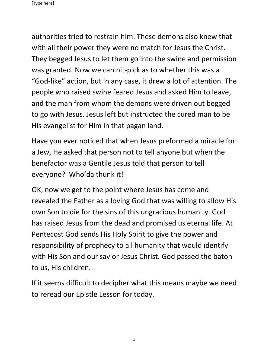authorities tried to restrain him. These demons also knew that with all their power they were no match for Jesus the Christ. They begged Jesus to let them go into the swine and permission was granted. Now we can nit-pick as to whether this was a "God-like" action, but in any case, it drew a lot of attention. The people who raised swine feared Jesus and asked Him to leave, and the man from whom the demons were driven out begged to go with Jesus. Jesus left but instructed the cured man to be His evangelist for Him in that pagan land.

Have you ever noticed that when Jesus preformed a miracle for a Jew, He asked that person not to tell anyone but when the benefactor was a Gentile Jesus told that person to tell everyone? Who'da thunk it!

OK, now we get to the point where Jesus has come and revealed the Father as a loving God that was willing to allow His own Son to die for the sins of this ungracious humanity. God has raised Jesus from the dead and promised us eternal life. At Pentecost God sends His Holy Spirit to give the power and responsibility of prophecy to all humanity that would identify with His Son and our savior Jesus Christ. God passed the baton to us, His children.

If it seems difficult to decipher what this means maybe we need to reread our Epistle Lesson for today.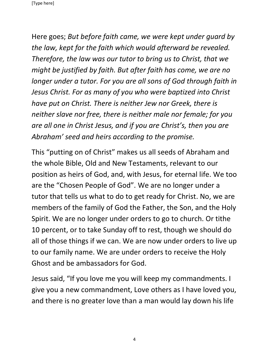Here goes; *But before faith came, we were kept under guard by the law, kept for the faith which would afterward be revealed. Therefore, the law was our tutor to bring us to Christ, that we might be justified by faith. But after faith has come, we are no longer under a tutor. For you are all sons of God through faith in Jesus Christ. For as many of you who were baptized into Christ have put on Christ. There is neither Jew nor Greek, there is neither slave nor free, there is neither male nor female; for you are all one in Christ Jesus, and if you are Christ's, then you are Abraham' seed and heirs according to the promise.*

This "putting on of Christ" makes us all seeds of Abraham and the whole Bible, Old and New Testaments, relevant to our position as heirs of God, and, with Jesus, for eternal life. We too are the "Chosen People of God". We are no longer under a tutor that tells us what to do to get ready for Christ. No, we are members of the family of God the Father, the Son, and the Holy Spirit. We are no longer under orders to go to church. Or tithe 10 percent, or to take Sunday off to rest, though we should do all of those things if we can. We are now under orders to live up to our family name. We are under orders to receive the Holy Ghost and be ambassadors for God.

Jesus said, "If you love me you will keep my commandments. I give you a new commandment, Love others as I have loved you, and there is no greater love than a man would lay down his life

4